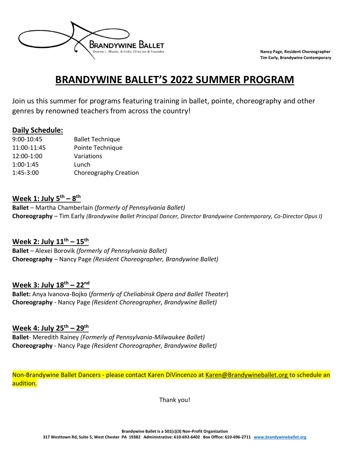

# **BRANDYWINE BALLET'S 2022 SUMMER PROGRAM**

Join us this summer for programs featuring training in ballet, pointe, choreography and other genres by renowned teachers from across the country!

#### **Daily Schedule:**

| 9:00-10:45  | <b>Ballet Technique</b> |
|-------------|-------------------------|
| 11:00-11:45 | Pointe Technique        |
| 12:00-1:00  | Variations              |
| $1:00-1:45$ | Lunch                   |
| 1:45-3:00   | Choreography Creation   |

#### **Week 1: July 5 th – 8 th**

**Ballet** – Martha Chamberlain *(formerly of Pennsylvania Ballet)* **Choreography** – Tim Early *(Brandywine Ballet Principal Dancer, Director Brandywine Contemporary, Co-Director Opus I)*

### **Week 2: July 11 th – 15 th**

**Ballet** *–* Alexei Borovik *(formerly of Pennsylvania Ballet)* **Choreography** – Nancy Page *(Resident Choreographer, Brandywine Ballet)*

### **Week 3: July 18th – 22 nd**

**Ballet:** Anya Ivanova-Bojko (*formerly of Cheliabinsk Opera and Ballet Theater*) **Choreography** - Nancy Page *(Resident Choreographer, Brandywine Ballet)*

### **Week 4: July 25 th – 29th**

**Ballet**- Meredith Rainey *(Formerly of Pennsylvania-Milwaukee Ballet)* **Choreography** - Nancy Page *(Resident Choreographer, Brandywine Ballet)*

Non-Brandywine Ballet Dancers - please contact Karen DiVincenzo at [Karen@Brandywineballet.org](mailto:Karen@Brandywineballet.org) to schedule an audition.

Thank you!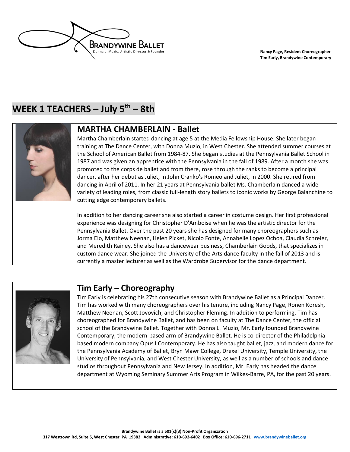

## **WEEK 1 TEACHERS – July 5 th – 8th**



#### **MARTHA CHAMBERLAIN - Ballet**

Martha Chamberlain started dancing at age 5 at the Media Fellowship House. She later began training at The Dance Center, with Donna Muzio, in West Chester. She attended summer courses at the School of American Ballet from 1984-87. She began studies at the Pennsylvania Ballet School in 1987 and was given an apprentice with the Pennsylvania in the fall of 1989. After a month she was promoted to the corps de ballet and from there, rose through the ranks to become a principal dancer, after her debut as Juliet, in John Cranko's Romeo and Juliet, in 2000. She retired from dancing in April of 2011. In her 21 years at Pennsylvania ballet Ms. Chamberlain danced a wide variety of leading roles, from classic full-length story ballets to iconic works by George Balanchine to cutting edge contemporary ballets.

In addition to her dancing career she also started a career in costume design. Her first professional experience was designing for Christopher D'Amboise when he was the artistic director for the Pennsylvania Ballet. Over the past 20 years she has designed for many choreographers such as Jorma Elo, Matthew Neenan, Helen Picket, Nicolo Fonte, Annabelle Lopez Ochoa, Claudia Schreier, and Meredith Rainey. She also has a dancewear business, Chamberlain Goods, that specializes in custom dance wear. She joined the University of the Arts dance faculty in the fall of 2013 and is currently a master lecturer as well as the Wardrobe Supervisor for the dance department.



### **Tim Early – Choreography**

Tim Early is celebrating his 27th consecutive season with Brandywine Ballet as a Principal Dancer. Tim has worked with many choreographers over his tenure, including Nancy Page, Ronen Koresh, Matthew Neenan, Scott Jovovich, and Christopher Fleming. In addition to performing, Tim has choreographed for Brandywine Ballet, and has been on faculty at The Dance Center, the official school of the Brandywine Ballet. Together with Donna L. Muzio, Mr. Early founded Brandywine Contemporary, the modern-based arm of Brandywine Ballet. He is co-director of the Philadelphiabased modern company Opus I Contemporary. He has also taught ballet, jazz, and modern dance for the Pennsylvania Academy of Ballet, Bryn Mawr College, Drexel University, Temple University, the University of Pennsylvania, and West Chester University, as well as a number of schools and dance studios throughout Pennsylvania and New Jersey. In addition, Mr. Early has headed the dance department at Wyoming Seminary Summer Arts Program in Wilkes-Barre, PA, for the past 20 years.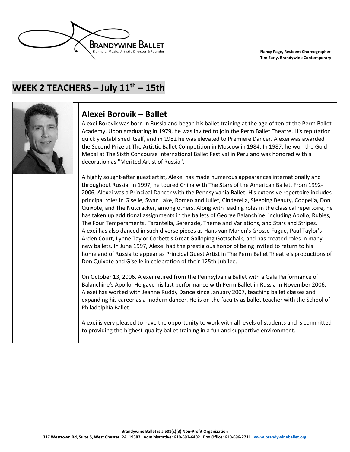

## **WEEK 2 TEACHERS – July 11th – 15th**



### **Alexei Borovik – Ballet**

Alexei Borovik was born in Russia and began his ballet training at the age of ten at the Perm Ballet Academy. Upon graduating in 1979, he was invited to join the Perm Ballet Theatre. His reputation quickly established itself, and in 1982 he was elevated to Premiere Dancer. Alexei was awarded the Second Prize at The Artistic Ballet Competition in Moscow in 1984. In 1987, he won the Gold Medal at The Sixth Concourse International Ballet Festival in Peru and was honored with a decoration as "Merited Artist of Russia".

A highly sought-after guest artist, Alexei has made numerous appearances internationally and throughout Russia. In 1997, he toured China with The Stars of the American Ballet. From 1992- 2006, Alexei was a Principal Dancer with the Pennsylvania Ballet. His extensive repertoire includes principal roles in Giselle, Swan Lake, Romeo and Juliet, Cinderella, Sleeping Beauty, Coppelia, Don Quixote, and The Nutcracker, among others. Along with leading roles in the classical repertoire, he has taken up additional assignments in the ballets of George Balanchine, including Apollo, Rubies, The Four Temperaments, Tarantella, Serenade, Theme and Variations, and Stars and Stripes. Alexei has also danced in such diverse pieces as Hans van Manen's Grosse Fugue, Paul Taylor's Arden Court, Lynne Taylor Corbett's Great Galloping Gottschalk, and has created roles in many new ballets. In June 1997, Alexei had the prestigious honor of being invited to return to his homeland of Russia to appear as Principal Guest Artist in The Perm Ballet Theatre's productions of Don Quixote and Giselle in celebration of their 125th Jubilee.

On October 13, 2006, Alexei retired from the Pennsylvania Ballet with a Gala Performance of Balanchine's Apollo. He gave his last performance with Perm Ballet in Russia in November 2006. Alexei has worked with Jeanne Ruddy Dance since January 2007, teaching ballet classes and expanding his career as a modern dancer. He is on the faculty as ballet teacher with the School of Philadelphia Ballet.

Alexei is very pleased to have the opportunity to work with all levels of students and is committed to providing the highest-quality ballet training in a fun and supportive environment.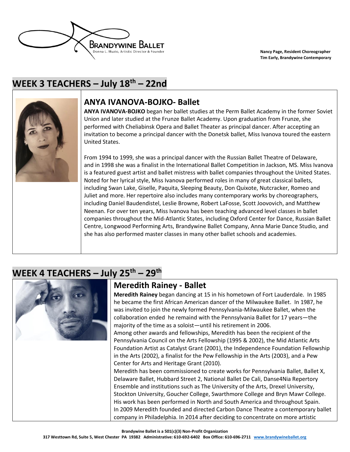

## **WEEK 3 TEACHERS – July 18th – 22nd**



### **ANYA IVANOVA-BOJKO- Ballet**

**ANYA IVANOVA-BOJKO** began her ballet studies at the Perm Ballet Academy in the former Soviet Union and later studied at the Frunze Ballet Academy. Upon graduation from Frunze, she performed with Cheliabinsk Opera and Ballet Theater as principal dancer. After accepting an invitation to become a principal dancer with the Donetsk ballet, Miss Ivanova toured the eastern United States.

From 1994 to 1999, she was a principal dancer with the Russian Ballet Theatre of Delaware, and in 1998 she was a finalist in the International Ballet Competition in Jackson, MS. Miss Ivanova is a featured guest artist and ballet mistress with ballet companies throughout the United States. Noted for her lyrical style, Miss Ivanova performed roles in many of great classical ballets, including Swan Lake, Giselle, Paquita, Sleeping Beauty, Don Quixote, Nutcracker, Romeo and Juliet and more. Her repertoire also includes many contemporary works by choreographers, including Daniel Baudendistel, Leslie Browne, Robert LaFosse, Scott Joovovich, and Matthew Neenan. For over ten years, Miss Ivanova has been teaching advanced level classes in ballet companies throughout the Mid-Atlantic States, including Oxford Center for Dance, Russian Ballet Centre, Longwood Performing Arts, Brandywine Ballet Company, Anna Marie Dance Studio, and she has also performed master classes in many other ballet schools and academies.

## **WEEK 4 TEACHERS – July 25 th – 29 th**



### **Meredith Rainey - Ballet**

**Meredith Rainey** began dancing at 15 in his hometown of Fort Lauderdale. In 1985 he became the first African American dancer of the Milwaukee Ballet. In 1987, he was invited to join the newly formed Pennsylvania-Milwaukee Ballet, when the collaboration ended he remaind with the Pennsylvania Ballet for 17 years—the majority of the time as a soloist—until his retirement in 2006.

Among other awards and fellowships, Meredith has been the recipient of the Pennsylvania Council on the Arts Fellowship (1995 & 2002), the Mid Atlantic Arts Foundation Artist as Catalyst Grant (2001), the Independence Foundation Fellowship in the Arts (2002), a finalist for the Pew Fellowship in the Arts (2003), and a Pew Center for Arts and Heritage Grant (2010).

Meredith has been commissioned to create works for Pennsylvania Ballet, Ballet X, Delaware Ballet, Hubbard Street 2, National Ballet De Cali, Danse4Nia Repertory Ensemble and institutions such as The University of the Arts, Drexel University, Stockton University, Goucher College, Swarthmore College and Bryn Mawr College. His work has been performed in North and South America and throughout Spain. In 2009 Meredith founded and directed Carbon Dance Theatre a contemporary ballet company in Philadelphia. In 2014 after deciding to concentrate on more artistic

**Brandywine Ballet is a 501(c)(3) Non-Profit Organization**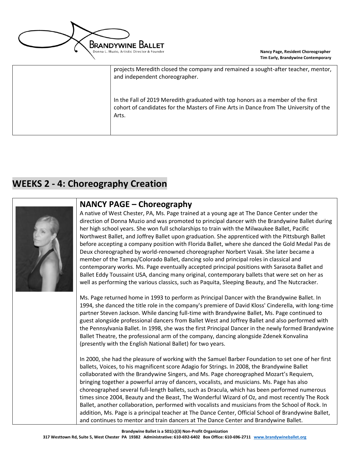

| projects Meredith closed the company and remained a sought-after teacher, mentor,<br>and independent choreographer.                                                               |
|-----------------------------------------------------------------------------------------------------------------------------------------------------------------------------------|
| In the Fall of 2019 Meredith graduated with top honors as a member of the first<br>cohort of candidates for the Masters of Fine Arts in Dance from The University of the<br>Arts. |

### **WEEKS 2 - 4: Choreography Creation**



### **NANCY PAGE – Choreography**

A native of West Chester, PA, Ms. Page trained at a young age at The Dance Center under the direction of Donna Muzio and was promoted to principal dancer with the Brandywine Ballet during her high school years. She won full scholarships to train with the Milwaukee Ballet, Pacific Northwest Ballet, and Joffrey Ballet upon graduation. She apprenticed with the Pittsburgh Ballet before accepting a company position with Florida Ballet, where she danced the Gold Medal Pas de Deux choreographed by world-renowned choreographer Norbert Vasak. She later became a member of the Tampa/Colorado Ballet, dancing solo and principal roles in classical and contemporary works. Ms. Page eventually accepted principal positions with Sarasota Ballet and Ballet Eddy Toussaint USA, dancing many original, contemporary ballets that were set on her as well as performing the various classics, such as Paquita, Sleeping Beauty, and The Nutcracker.

Ms. Page returned home in 1993 to perform as Principal Dancer with the Brandywine Ballet. In 1994, she danced the title role in the company's premiere of David Kloss' Cinderella, with long-time partner Steven Jackson. While dancing full-time with Brandywine Ballet, Ms. Page continued to guest alongside professional dancers from Ballet West and Joffrey Ballet and also performed with the Pennsylvania Ballet. In 1998, she was the first Principal Dancer in the newly formed Brandywine Ballet Theatre, the professional arm of the company, dancing alongside Zdenek Konvalina (presently with the English National Ballet) for two years.

In 2000, she had the pleasure of working with the Samuel Barber Foundation to set one of her first ballets, Voices, to his magnificent score Adagio for Strings. In 2008, the Brandywine Ballet collaborated with the Brandywine Singers, and Ms. Page choreographed Mozart's Requiem, bringing together a powerful array of dancers, vocalists, and musicians. Ms. Page has also choreographed several full-length ballets, such as Dracula, which has been performed numerous times since 2004, Beauty and the Beast, The Wonderful Wizard of Oz, and most recently The Rock Ballet, another collaboration, performed with vocalists and musicians from the School of Rock. In addition, Ms. Page is a principal teacher at The Dance Center, Official School of Brandywine Ballet, and continues to mentor and train dancers at The Dance Center and Brandywine Ballet.

**Brandywine Ballet is a 501(c)(3) Non-Profit Organization**